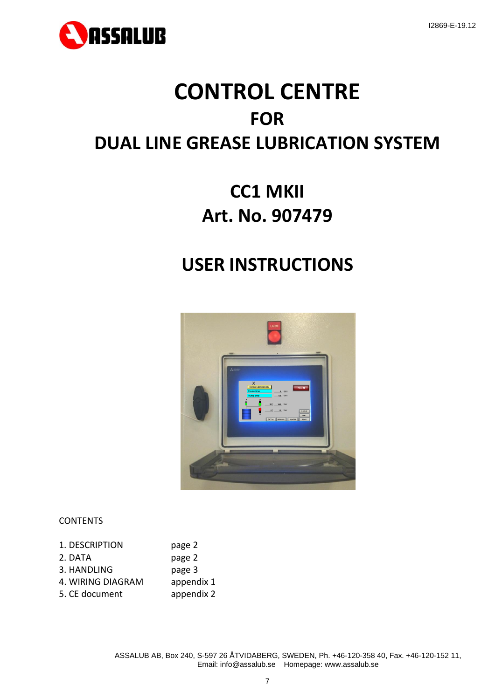

# **CONTROL CENTRE FOR DUAL LINE GREASE LUBRICATION SYSTEM**

# **CC1 MKII Art. No. 907479**

# **USER INSTRUCTIONS**



## **CONTENTS**

| 1. DESCRIPTION    | page 2     |
|-------------------|------------|
| 2. DATA           | page 2     |
| 3. HANDLING       | page 3     |
| 4. WIRING DIAGRAM | appendix 1 |
| 5. CE document    | appendix 2 |

ASSALUB AB, Box 240, S-597 26 ÅTVIDABERG, SWEDEN, Ph. +46-120-358 40, Fax. +46-120-152 11, Email: info@assalub.se Homepage: www.assalub.se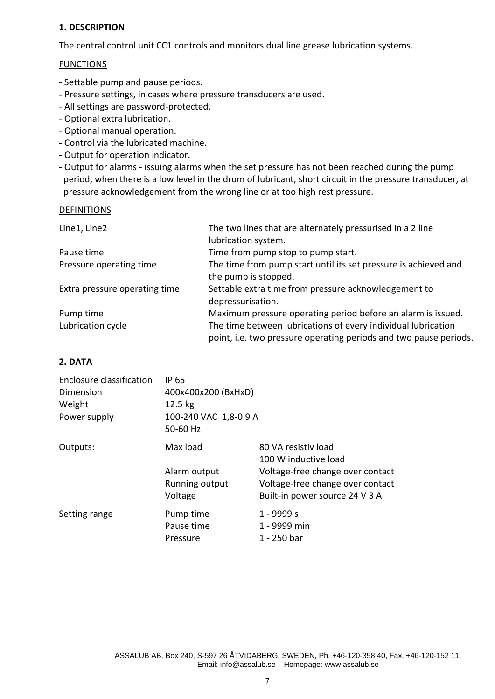# **1. DESCRIPTION**

The central control unit CC1 controls and monitors dual line grease lubrication systems.

# **FUNCTIONS**

- Settable pump and pause periods.
- Pressure settings, in cases where pressure transducers are used.
- All settings are password-protected.
- Optional extra lubrication.
- Optional manual operation.
- Control via the lubricated machine.
- Output for operation indicator.
- Output for alarms issuing alarms when the set pressure has not been reached during the pump period, when there is a low level in the drum of lubricant, short circuit in the pressure transducer, at pressure acknowledgement from the wrong line or at too high rest pressure.

#### DEFINITIONS

| Line1, Line2                  | The two lines that are alternately pressurised in a 2 line        |
|-------------------------------|-------------------------------------------------------------------|
|                               | lubrication system.                                               |
| Pause time                    | Time from pump stop to pump start.                                |
| Pressure operating time       | The time from pump start until its set pressure is achieved and   |
|                               | the pump is stopped.                                              |
| Extra pressure operating time | Settable extra time from pressure acknowledgement to              |
|                               | depressurisation.                                                 |
| Pump time                     | Maximum pressure operating period before an alarm is issued.      |
| Lubrication cycle             | The time between lubrications of every individual lubrication     |
|                               | point, i.e. two pressure operating periods and two pause periods. |

# **2. DATA**

| Enclosure classification | <b>IP 65</b>          |                                  |  |
|--------------------------|-----------------------|----------------------------------|--|
| Dimension                | 400x400x200 (BxHxD)   |                                  |  |
| Weight                   | $12.5$ kg             |                                  |  |
| Power supply             | 100-240 VAC 1,8-0.9 A |                                  |  |
|                          | 50-60 Hz              |                                  |  |
| Outputs:                 | Max load              | 80 VA resistiv load              |  |
|                          |                       | 100 W inductive load             |  |
|                          | Alarm output          | Voltage-free change over contact |  |
|                          | Running output        | Voltage-free change over contact |  |
|                          | Voltage               | Built-in power source 24 V 3 A   |  |
| Setting range            | Pump time             | 1 - 9999 s                       |  |
|                          | Pause time            | 1 - 9999 min                     |  |
|                          | Pressure              | 1 - 250 bar                      |  |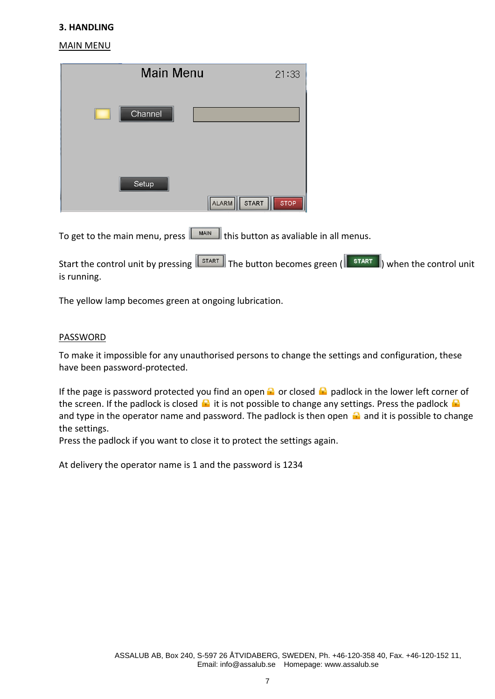#### **3. HANDLING**

#### MAIN MENU

| <b>Main Menu</b> |                       | 21:33       |
|------------------|-----------------------|-------------|
| Channel          |                       |             |
| Setup            | ALARM<br><b>START</b> | <b>STOP</b> |

To get to the main menu, press  $\boxed{\phantom{\big|}\hspace{0.15cm}\text{MAIN}\hspace{0.1cm}}$  this button as avaliable in all menus.

Start the control unit by pressing  $\sqrt{s_{\text{TART}}\over s_{\text{TART}}}\right)$  and the control unit of the control unit is running.

The yellow lamp becomes green at ongoing lubrication.

#### PASSWORD

To make it impossible for any unauthorised persons to change the settings and configuration, these have been password-protected.

If the page is password protected you find an open  $\bigoplus$  or closed  $\bigoplus$  padlock in the lower left corner of the screen. If the padlock is closed  $\bigoplus$  it is not possible to change any settings. Press the padlock  $\bigoplus$ and type in the operator name and password. The padlock is then open  $\Omega$  and it is possible to change the settings.

Press the padlock if you want to close it to protect the settings again.

At delivery the operator name is 1 and the password is 1234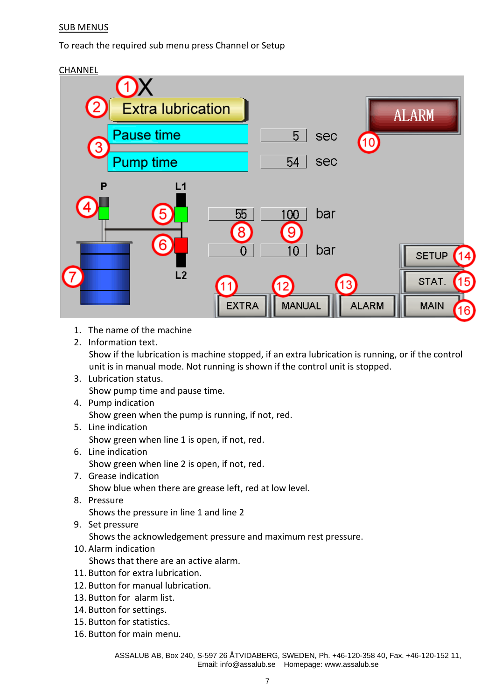# SUB MENUS

To reach the required sub menu press Channel or Setup



- 1. The name of the machine
- 2. Information text.

Show if the lubrication is machine stopped, if an extra lubrication is running, or if the control unit is in manual mode. Not running is shown if the control unit is stopped.

- 3. Lubrication status. Show pump time and pause time.
- 4. Pump indication Show green when the pump is running, if not, red.
- 5. Line indication Show green when line 1 is open, if not, red.
- 6. Line indication Show green when line 2 is open, if not, red.
- 7. Grease indication Show blue when there are grease left, red at low level.
- 8. Pressure Shows the pressure in line 1 and line 2
- 9. Set pressure Shows the acknowledgement pressure and maximum rest pressure.
- 10. Alarm indication

Shows that there are an active alarm.

- 11. Button for extra lubrication.
- 12. Button for manual lubrication.
- 13. Button for alarm list.
- 14. Button for settings.
- 15. Button for statistics.
- 16. Button for main menu.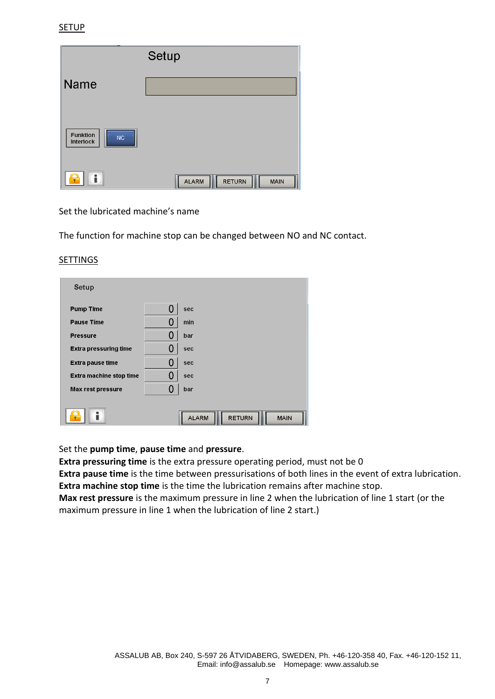|                                           | Setup                                 |
|-------------------------------------------|---------------------------------------|
| <b>Name</b>                               |                                       |
|                                           |                                       |
| <b>Funktion</b><br>NC<br><b>Interlock</b> |                                       |
| ∙                                         | <b>RETURN</b><br><b>ALARM</b><br>MAIN |

Set the lubricated machine's name

The function for machine stop can be changed between NO and NC contact.

#### SETTINGS

| Setup                          |    |                                       |
|--------------------------------|----|---------------------------------------|
| <b>Pump Time</b>               | {} | sec                                   |
| <b>Pause Time</b>              |    | min                                   |
| <b>Pressure</b>                |    | bar                                   |
| <b>Extra pressuring time</b>   |    | sec                                   |
| <b>Extra pause time</b>        |    | sec                                   |
| <b>Extra machine stop time</b> |    | sec                                   |
| <b>Max rest pressure</b>       |    | bar                                   |
|                                |    | <b>ALARM</b><br><b>RETURN</b><br>MAIN |

Set the **pump time**, **pause time** and **pressure**.

**Extra pressuring time** is the extra pressure operating period, must not be 0

**Extra pause time** is the time between pressurisations of both lines in the event of extra lubrication. **Extra machine stop time** is the time the lubrication remains after machine stop.

**Max rest pressure** is the maximum pressure in line 2 when the lubrication of line 1 start (or the maximum pressure in line 1 when the lubrication of line 2 start.)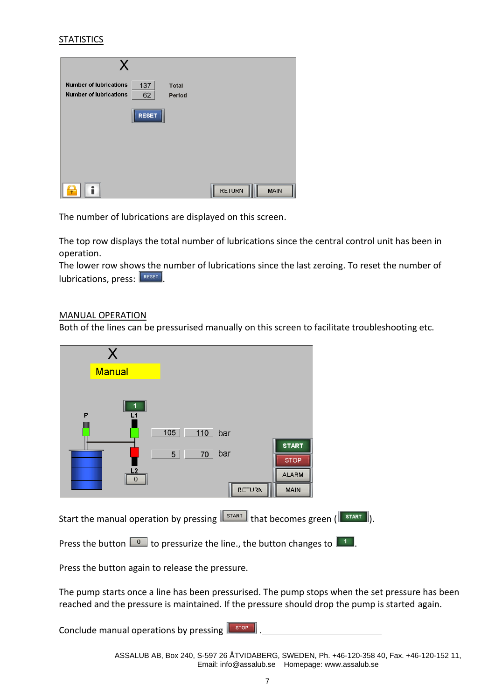# **STATISTICS**

| X                                                                                                     |                              |
|-------------------------------------------------------------------------------------------------------|------------------------------|
| <b>Number of lubrications</b><br>137<br><b>Total</b><br><b>Number of lubrications</b><br>62<br>Period |                              |
| <b>RESET</b>                                                                                          |                              |
|                                                                                                       |                              |
|                                                                                                       |                              |
|                                                                                                       | <b>RETURN</b><br><b>MAIN</b> |

The number of lubrications are displayed on this screen.

The top row displays the total number of lubrications since the central control unit has been in operation.

The lower row shows the number of lubrications since the last zeroing. To reset the number of  $\vert$  lubrications, press:  $\vert$ <sup>RESET</sup>

#### MANUAL OPERATION

Both of the lines can be pressurised manually on this screen to facilitate troubleshooting etc.



Start the manual operation by pressing  $\sqrt{\frac{START}{START}}$  that becomes green  $(\sqrt{\frac{START}{START}})$ .

Press the button  $\Box$  to pressurize the line., the button changes to  $\Box$ .

Press the button again to release the pressure.

The pump starts once a line has been pressurised. The pump stops when the set pressure has been reached and the pressure is maintained. If the pressure should drop the pump is started again.

Conclude manual operations by pressing  $\sqrt{\frac{1-\text{stop}}{n}}$ 

ASSALUB AB, Box 240, S-597 26 ÅTVIDABERG, SWEDEN, Ph. +46-120-358 40, Fax. +46-120-152 11, Email: info@assalub.se Homepage: www.assalub.se